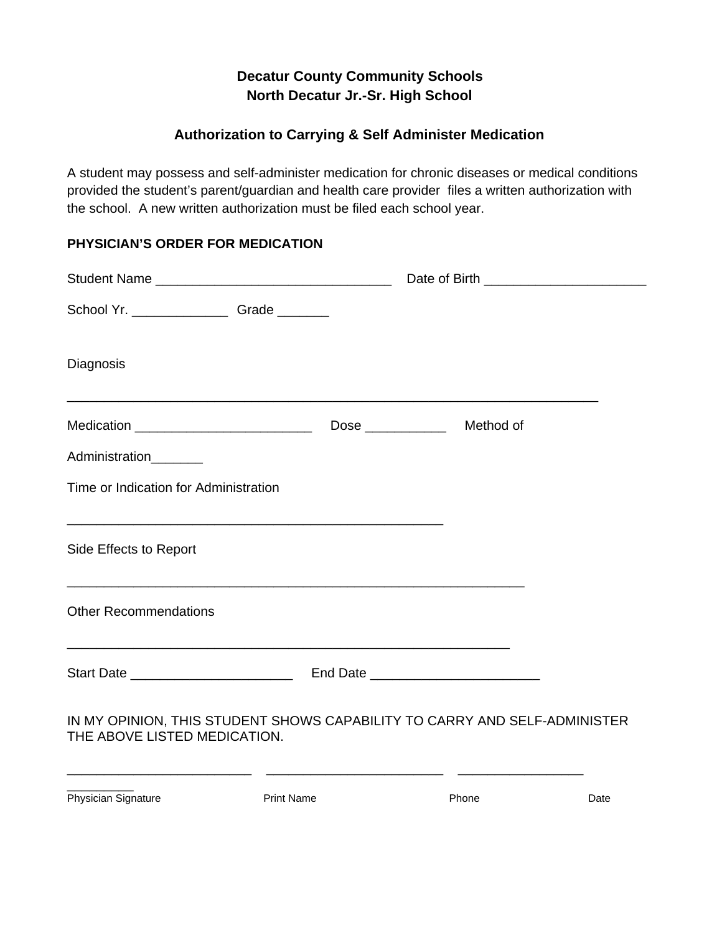## **Decatur County Community Schools North Decatur Jr.-Sr. High School**

## **Authorization to Carrying & Self Administer Medication**

A student may possess and self-administer medication for chronic diseases or medical conditions provided the student's parent/guardian and health care provider files a written authorization with the school. A new written authorization must be filed each school year.

## **PHYSICIAN'S ORDER FOR MEDICATION**

| School Yr. __________________Grade ________                                                               |  |  |
|-----------------------------------------------------------------------------------------------------------|--|--|
| Diagnosis                                                                                                 |  |  |
| Medication _______________________________                                                                |  |  |
| Administration________                                                                                    |  |  |
| Time or Indication for Administration                                                                     |  |  |
|                                                                                                           |  |  |
| Side Effects to Report                                                                                    |  |  |
| <b>Other Recommendations</b>                                                                              |  |  |
|                                                                                                           |  |  |
| IN MY OPINION, THIS STUDENT SHOWS CAPABILITY TO CARRY AND SELF-ADMINISTER<br>THE ABOVE LISTED MEDICATION. |  |  |

Physician Signature **Print Name** Print Name Phone Phone Date

 $\frac{1}{2}$